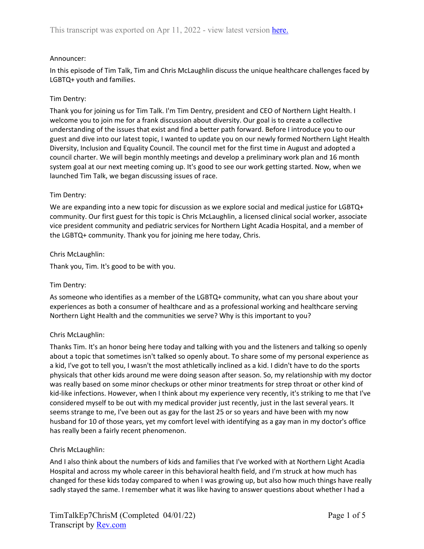## Announcer:

In this episode of Tim Talk, Tim and Chris McLaughlin discuss the unique healthcare challenges faced by LGBTQ+ youth and families.

## Tim Dentry:

Thank you for joining us for Tim Talk. I'm Tim Dentry, president and CEO of Northern Light Health. I welcome you to join me for a frank discussion about diversity. Our goal is to create a collective understanding of the issues that exist and find a better path forward. Before I introduce you to our guest and dive into our latest topic, I wanted to update you on our newly formed Northern Light Health Diversity, Inclusion and Equality Council. The council met for the first time in August and adopted a council charter. We will begin monthly meetings and develop a preliminary work plan and 16 month system goal at our next meeting coming up. It's good to see our work getting started. Now, when we launched Tim Talk, we began discussing issues of race.

## Tim Dentry:

We are expanding into a new topic for discussion as we explore social and medical justice for LGBTQ+ community. Our first guest for this topic is Chris McLaughlin, a licensed clinical social worker, associate vice president community and pediatric services for Northern Light Acadia Hospital, and a member of the LGBTQ+ community. Thank you for joining me here today, Chris.

## Chris McLaughlin:

Thank you, Tim. It's good to be with you.

## Tim Dentry:

As someone who identifies as a member of the LGBTQ+ community, what can you share about your experiences as both a consumer of healthcare and as a professional working and healthcare serving Northern Light Health and the communities we serve? Why is this important to you?

# Chris McLaughlin:

Thanks Tim. It's an honor being here today and talking with you and the listeners and talking so openly about a topic that sometimes isn't talked so openly about. To share some of my personal experience as a kid, I've got to tell you, I wasn't the most athletically inclined as a kid. I didn't have to do the sports physicals that other kids around me were doing season after season. So, my relationship with my doctor was really based on some minor checkups or other minor treatments for strep throat or other kind of kid-like infections. However, when I think about my experience very recently, it's striking to me that I've considered myself to be out with my medical provider just recently, just in the last several years. It seems strange to me, I've been out as gay for the last 25 or so years and have been with my now husband for 10 of those years, yet my comfort level with identifying as a gay man in my doctor's office has really been a fairly recent phenomenon.

# Chris McLaughlin:

And I also think about the numbers of kids and families that I've worked with at Northern Light Acadia Hospital and across my whole career in this behavioral health field, and I'm struck at how much has changed for these kids today compared to when I was growing up, but also how much things have really sadly stayed the same. I remember what it was like having to answer questions about whether I had a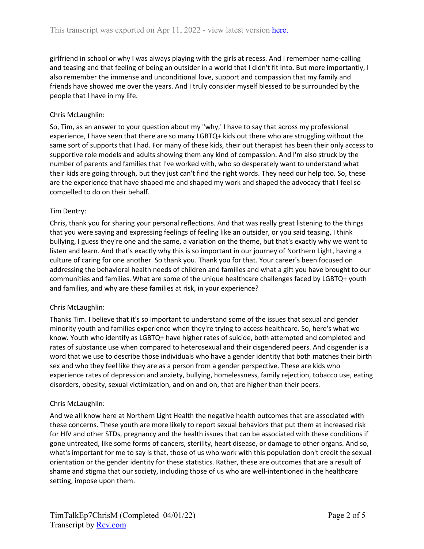girlfriend in school or why I was always playing with the girls at recess. And I remember name-calling and teasing and that feeling of being an outsider in a world that I didn't fit into. But more importantly, I also remember the immense and unconditional love, support and compassion that my family and friends have showed me over the years. And I truly consider myself blessed to be surrounded by the people that I have in my life.

## Chris McLaughlin:

So, Tim, as an answer to your question about my "why,' I have to say that across my professional experience, I have seen that there are so many LGBTQ+ kids out there who are struggling without the same sort of supports that I had. For many of these kids, their out therapist has been their only access to supportive role models and adults showing them any kind of compassion. And I'm also struck by the number of parents and families that I've worked with, who so desperately want to understand what their kids are going through, but they just can't find the right words. They need our help too. So, these are the experience that have shaped me and shaped my work and shaped the advocacy that I feel so compelled to do on their behalf.

## Tim Dentry:

Chris, thank you for sharing your personal reflections. And that was really great listening to the things that you were saying and expressing feelings of feeling like an outsider, or you said teasing, I think bullying, I guess they're one and the same, a variation on the theme, but that's exactly why we want to listen and learn. And that's exactly why this is so important in our journey of Northern Light, having a culture of caring for one another. So thank you. Thank you for that. Your career's been focused on addressing the behavioral health needs of children and families and what a gift you have brought to our communities and families. What are some of the unique healthcare challenges faced by LGBTQ+ youth and families, and why are these families at risk, in your experience?

# Chris McLaughlin:

Thanks Tim. I believe that it's so important to understand some of the issues that sexual and gender minority youth and families experience when they're trying to access healthcare. So, here's what we know. Youth who identify as LGBTQ+ have higher rates of suicide, both attempted and completed and rates of substance use when compared to heterosexual and their cisgendered peers. And cisgender is a word that we use to describe those individuals who have a gender identity that both matches their birth sex and who they feel like they are as a person from a gender perspective. These are kids who experience rates of depression and anxiety, bullying, homelessness, family rejection, tobacco use, eating disorders, obesity, sexual victimization, and on and on, that are higher than their peers.

## Chris McLaughlin:

And we all know here at Northern Light Health the negative health outcomes that are associated with these concerns. These youth are more likely to report sexual behaviors that put them at increased risk for HIV and other STDs, pregnancy and the health issues that can be associated with these conditions if gone untreated, like some forms of cancers, sterility, heart disease, or damage to other organs. And so, what's important for me to say is that, those of us who work with this population don't credit the sexual orientation or the gender identity for these statistics. Rather, these are outcomes that are a result of shame and stigma that our society, including those of us who are well-intentioned in the healthcare setting, impose upon them.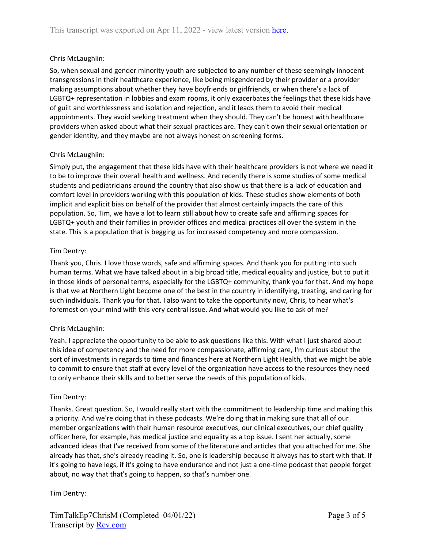# Chris McLaughlin:

So, when sexual and gender minority youth are subjected to any number of these seemingly innocent transgressions in their healthcare experience, like being misgendered by their provider or a provider making assumptions about whether they have boyfriends or girlfriends, or when there's a lack of LGBTQ+ representation in lobbies and exam rooms, it only exacerbates the feelings that these kids have of guilt and worthlessness and isolation and rejection, and it leads them to avoid their medical appointments. They avoid seeking treatment when they should. They can't be honest with healthcare providers when asked about what their sexual practices are. They can't own their sexual orientation or gender identity, and they maybe are not always honest on screening forms.

## Chris McLaughlin:

Simply put, the engagement that these kids have with their healthcare providers is not where we need it to be to improve their overall health and wellness. And recently there is some studies of some medical students and pediatricians around the country that also show us that there is a lack of education and comfort level in providers working with this population of kids. These studies show elements of both implicit and explicit bias on behalf of the provider that almost certainly impacts the care of this population. So, Tim, we have a lot to learn still about how to create safe and affirming spaces for LGBTQ+ youth and their families in provider offices and medical practices all over the system in the state. This is a population that is begging us for increased competency and more compassion.

## Tim Dentry:

Thank you, Chris. I love those words, safe and affirming spaces. And thank you for putting into such human terms. What we have talked about in a big broad title, medical equality and justice, but to put it in those kinds of personal terms, especially for the LGBTQ+ community, thank you for that. And my hope is that we at Northern Light become one of the best in the country in identifying, treating, and caring for such individuals. Thank you for that. I also want to take the opportunity now, Chris, to hear what's foremost on your mind with this very central issue. And what would you like to ask of me?

## Chris McLaughlin:

Yeah. I appreciate the opportunity to be able to ask questions like this. With what I just shared about this idea of competency and the need for more compassionate, affirming care, I'm curious about the sort of investments in regards to time and finances here at Northern Light Health, that we might be able to commit to ensure that staff at every level of the organization have access to the resources they need to only enhance their skills and to better serve the needs of this population of kids.

## Tim Dentry:

Thanks. Great question. So, I would really start with the commitment to leadership time and making this a priority. And we're doing that in these podcasts. We're doing that in making sure that all of our member organizations with their human resource executives, our clinical executives, our chief quality officer here, for example, has medical justice and equality as a top issue. I sent her actually, some advanced ideas that I've received from some of the literature and articles that you attached for me. She already has that, she's already reading it. So, one is leadership because it always has to start with that. If it's going to have legs, if it's going to have endurance and not just a one-time podcast that people forget about, no way that that's going to happen, so that's number one.

Tim Dentry: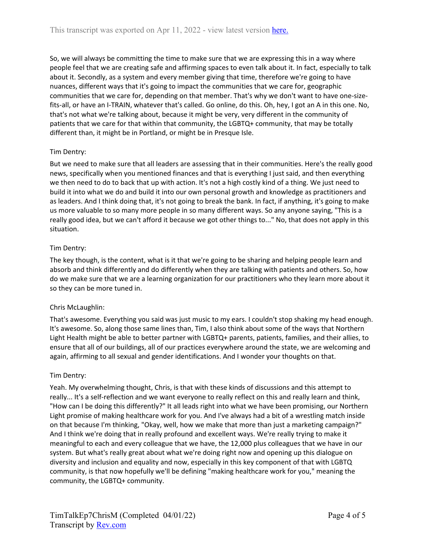So, we will always be committing the time to make sure that we are expressing this in a way where people feel that we are creating safe and affirming spaces to even talk about it. In fact, especially to talk about it. Secondly, as a system and every member giving that time, therefore we're going to have nuances, different ways that it's going to impact the communities that we care for, geographic communities that we care for, depending on that member. That's why we don't want to have one-sizefits-all, or have an I-TRAIN, whatever that's called. Go online, do this. Oh, hey, I got an A in this one. No, that's not what we're talking about, because it might be very, very different in the community of patients that we care for that within that community, the LGBTQ+ community, that may be totally different than, it might be in Portland, or might be in Presque Isle.

# Tim Dentry:

But we need to make sure that all leaders are assessing that in their communities. Here's the really good news, specifically when you mentioned finances and that is everything I just said, and then everything we then need to do to back that up with action. It's not a high costly kind of a thing. We just need to build it into what we do and build it into our own personal growth and knowledge as practitioners and as leaders. And I think doing that, it's not going to break the bank. In fact, if anything, it's going to make us more valuable to so many more people in so many different ways. So any anyone saying, "This is a really good idea, but we can't afford it because we got other things to..." No, that does not apply in this situation.

# Tim Dentry:

The key though, is the content, what is it that we're going to be sharing and helping people learn and absorb and think differently and do differently when they are talking with patients and others. So, how do we make sure that we are a learning organization for our practitioners who they learn more about it so they can be more tuned in.

# Chris McLaughlin:

That's awesome. Everything you said was just music to my ears. I couldn't stop shaking my head enough. It's awesome. So, along those same lines than, Tim, I also think about some of the ways that Northern Light Health might be able to better partner with LGBTQ+ parents, patients, families, and their allies, to ensure that all of our buildings, all of our practices everywhere around the state, we are welcoming and again, affirming to all sexual and gender identifications. And I wonder your thoughts on that.

# Tim Dentry:

Yeah. My overwhelming thought, Chris, is that with these kinds of discussions and this attempt to really... It's a self-reflection and we want everyone to really reflect on this and really learn and think, "How can I be doing this differently?" It all leads right into what we have been promising, our Northern Light promise of making healthcare work for you. And I've always had a bit of a wrestling match inside on that because I'm thinking, "Okay, well, how we make that more than just a marketing campaign?" And I think we're doing that in really profound and excellent ways. We're really trying to make it meaningful to each and every colleague that we have, the 12,000 plus colleagues that we have in our system. But what's really great about what we're doing right now and opening up this dialogue on diversity and inclusion and equality and now, especially in this key component of that with LGBTQ community, is that now hopefully we'll be defining "making healthcare work for you," meaning the community, the LGBTQ+ community.